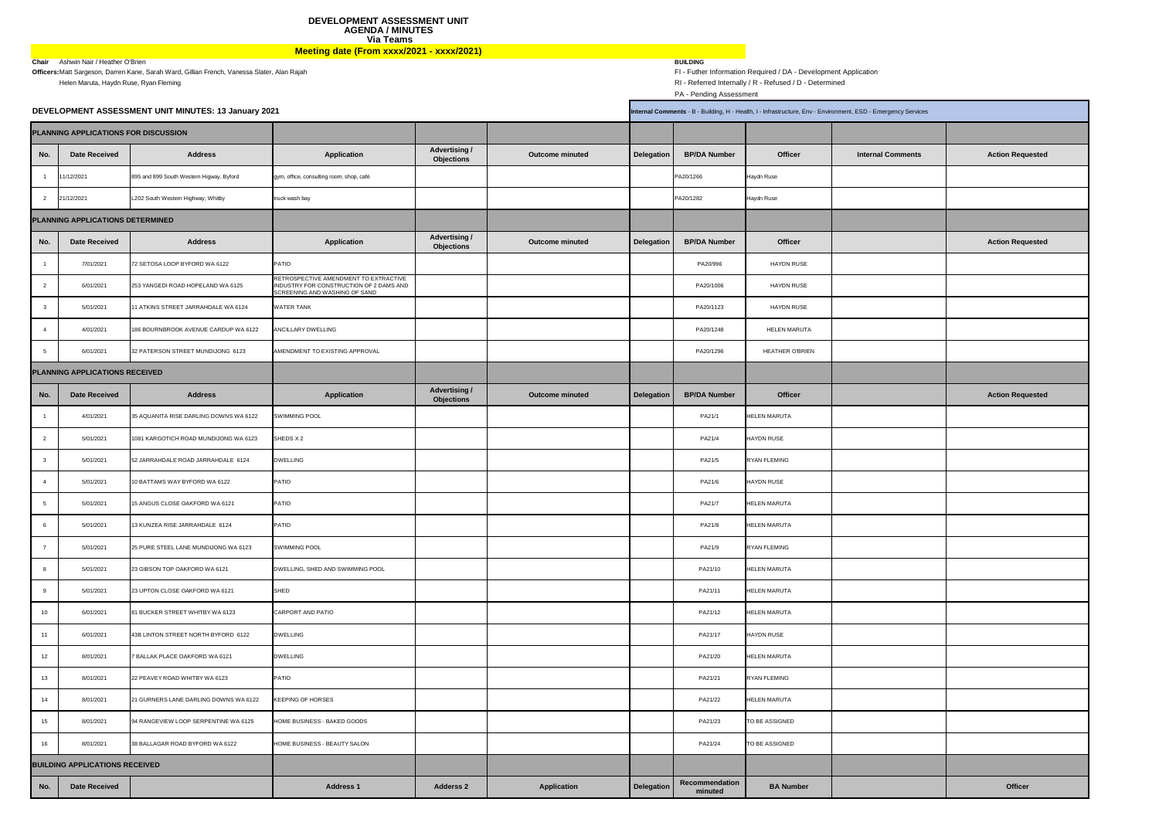PA - Pending Assessment

| <i>ices</i> |                         |
|-------------|-------------------------|
|             |                         |
| :S          | <b>Action Requested</b> |
|             |                         |
|             |                         |
|             |                         |
|             | <b>Action Requested</b> |
|             |                         |
|             |                         |
|             |                         |
|             |                         |
|             |                         |
|             |                         |
|             | <b>Action Requested</b> |
|             |                         |
|             |                         |
|             |                         |
|             |                         |
|             |                         |
|             |                         |
|             |                         |
|             |                         |
|             |                         |
|             |                         |
|             |                         |
|             |                         |
|             |                         |
|             |                         |
|             |                         |
|             |                         |
|             |                         |
|             | <b>Officer</b>          |

|                |                                       | DEVELOPMENT ASSESSMENT UNIT MINUTES: 13 January 2021 | Internal Comments - B - Building, H - Health, I - Infrastructure, Env - Environment, ESD - Emergency Services     |                                           |                        |                   |                           |                        |                          |                         |
|----------------|---------------------------------------|------------------------------------------------------|-------------------------------------------------------------------------------------------------------------------|-------------------------------------------|------------------------|-------------------|---------------------------|------------------------|--------------------------|-------------------------|
|                | PLANNING APPLICATIONS FOR DISCUSSION  |                                                      |                                                                                                                   |                                           |                        |                   |                           |                        |                          |                         |
| No.            | Date Received                         | <b>Address</b>                                       | <b>Application</b>                                                                                                | <b>Advertising /</b><br><b>Objections</b> | <b>Outcome minuted</b> | <b>Delegation</b> | <b>BP/DA Number</b>       | <b>Officer</b>         | <b>Internal Comments</b> | <b>Action Requested</b> |
|                | 11/12/2021                            | 895 and 899 South Western Higway, Byford             | gym, office, consulting room, shop, café                                                                          |                                           |                        |                   | PA20/1266                 | <b>Haydn Ruse</b>      |                          |                         |
|                | 21/12/2021                            | L202 South Western Highway, Whitby                   | truck wash bay                                                                                                    |                                           |                        |                   | PA20/1282                 | <b>Haydn Ruse</b>      |                          |                         |
|                | PLANNING APPLICATIONS DETERMINED      |                                                      |                                                                                                                   |                                           |                        |                   |                           |                        |                          |                         |
| No.            | <b>Date Received</b>                  | <b>Address</b>                                       | <b>Application</b>                                                                                                | <b>Advertising /</b><br><b>Objections</b> | <b>Outcome minuted</b> | Delegation        | <b>BP/DA Number</b>       | <b>Officer</b>         |                          | <b>Action Requested</b> |
|                | 7/01/2021                             | 72 SETOSA LOOP BYFORD WA 6122                        | <b>PATIO</b>                                                                                                      |                                           |                        |                   | PA20/996                  | <b>HAYDN RUSE</b>      |                          |                         |
|                | 6/01/2021                             | 253 YANGEDI ROAD HOPELAND WA 6125                    | RETROSPECTIVE AMENDMENT TO EXTRACTIVE<br>INDUSTRY FOR CONSTRUCTION OF 2 DAMS AND<br>SCREENING AND WASHING OF SAND |                                           |                        |                   | PA20/1006                 | <b>HAYDN RUSE</b>      |                          |                         |
|                | 5/01/2021                             | 11 ATKINS STREET JARRAHDALE WA 6124                  | <b>WATER TANK</b>                                                                                                 |                                           |                        |                   | PA20/1123                 | <b>HAYDN RUSE</b>      |                          |                         |
|                | 4/01/2021                             | 186 BOURNBROOK AVENUE CARDUP WA 6122                 | <b>ANCILLARY DWELLING</b>                                                                                         |                                           |                        |                   | PA20/1248                 | <b>HELEN MARUTA</b>    |                          |                         |
|                | 6/01/2021                             | 32 PATERSON STREET MUNDIJONG 6123                    | AMENDMENT TO EXISTING APPROVAL                                                                                    |                                           |                        |                   | PA20/1296                 | <b>HEATHER O'BRIEN</b> |                          |                         |
|                | PLANNING APPLICATIONS RECEIVED        |                                                      |                                                                                                                   |                                           |                        |                   |                           |                        |                          |                         |
| No.            | <b>Date Received</b>                  | <b>Address</b>                                       | <b>Application</b>                                                                                                | <b>Advertising /</b><br><b>Objections</b> | <b>Outcome minuted</b> | Delegation        | <b>BP/DA Number</b>       | <b>Officer</b>         |                          | <b>Action Requested</b> |
|                | 4/01/2021                             | 35 AQUANITA RISE DARLING DOWNS WA 6122               | <b>SWIMMING POOL</b>                                                                                              |                                           |                        |                   | PA21/1                    | <b>HELEN MARUTA</b>    |                          |                         |
| $\overline{2}$ | 5/01/2021                             | 1081 KARGOTICH ROAD MUNDIJONG WA 6123                | SHEDS X 2                                                                                                         |                                           |                        |                   | PA21/4                    | <b>HAYDN RUSE</b>      |                          |                         |
|                | 5/01/2021                             | 52 JARRAHDALE ROAD JARRAHDALE 6124                   | <b>DWELLING</b>                                                                                                   |                                           |                        |                   | PA21/5                    | <b>RYAN FLEMING</b>    |                          |                         |
|                | 5/01/2021                             | 10 BATTAMS WAY BYFORD WA 6122                        | <b>PATIO</b>                                                                                                      |                                           |                        |                   | PA21/6                    | <b>HAYDN RUSE</b>      |                          |                         |
|                | 5/01/2021                             | 15 ANGUS CLOSE OAKFORD WA 6121                       | PATIO                                                                                                             |                                           |                        |                   | PA21/7                    | <b>HELEN MARUTA</b>    |                          |                         |
|                | 5/01/2021                             | 13 KUNZEA RISE JARRAHDALE 6124                       | <b>PATIO</b>                                                                                                      |                                           |                        |                   | PA21/8                    | <b>HELEN MARUTA</b>    |                          |                         |
|                | 5/01/2021                             | 25 PURE STEEL LANE MUNDIJONG WA 6123                 | <b>SWIMMING POOL</b>                                                                                              |                                           |                        |                   | PA21/9                    | <b>RYAN FLEMING</b>    |                          |                         |
|                | 5/01/2021                             | 23 GIBSON TOP OAKFORD WA 6121                        | DWELLING, SHED AND SWIMMING POOL                                                                                  |                                           |                        |                   | PA21/10                   | <b>HELEN MARUTA</b>    |                          |                         |
|                | 5/01/2021                             | 23 UPTON CLOSE OAKFORD WA 6121                       | SHED                                                                                                              |                                           |                        |                   | PA21/11                   | <b>HELEN MARUTA</b>    |                          |                         |
| 10             | 6/01/2021                             | 81 BUCKER STREET WHITBY WA 6123                      | <b>CARPORT AND PATIO</b>                                                                                          |                                           |                        |                   | PA21/12                   | <b>HELEN MARUTA</b>    |                          |                         |
| 11             | 6/01/2021                             | 43B LINTON STREET NORTH BYFORD 6122                  | <b>DWELLING</b>                                                                                                   |                                           |                        |                   | PA21/17                   | <b>HAYDN RUSE</b>      |                          |                         |
| 12             | 8/01/2021                             | 7 BALLAK PLACE OAKFORD WA 6121                       | <b>DWELLING</b>                                                                                                   |                                           |                        |                   | PA21/20                   | <b>HELEN MARUTA</b>    |                          |                         |
| 13             | 8/01/2021                             | 22 PEAVEY ROAD WHITBY WA 6123                        | <b>PATIO</b>                                                                                                      |                                           |                        |                   | PA21/21                   | RYAN FLEMING           |                          |                         |
| 14             | 8/01/2021                             | 21 GURNERS LANE DARLING DOWNS WA 6122                | <b>KEEPING OF HORSES</b>                                                                                          |                                           |                        |                   | PA21/22                   | <b>HELEN MARUTA</b>    |                          |                         |
| 15             | 8/01/2021                             | 94 RANGEVIEW LOOP SERPENTINE WA 6125                 | HOME BUSINESS - BAKED GOODS                                                                                       |                                           |                        |                   | PA21/23                   | TO BE ASSIGNED         |                          |                         |
| 16             | 8/01/2021                             | 38 BALLAGAR ROAD BYFORD WA 6122                      | HOME BUSINESS - BEAUTY SALON                                                                                      |                                           |                        |                   | PA21/24                   | TO BE ASSIGNED         |                          |                         |
|                | <b>BUILDING APPLICATIONS RECEIVED</b> |                                                      |                                                                                                                   |                                           |                        |                   |                           |                        |                          |                         |
| No.            | <b>Date Received</b>                  |                                                      | <b>Address 1</b>                                                                                                  | <b>Adderss 2</b>                          | <b>Application</b>     | Delegation        | Recommendation<br>minuted | <b>BA Number</b>       |                          | <b>Officer</b>          |
|                |                                       |                                                      |                                                                                                                   |                                           |                        |                   |                           |                        |                          |                         |

**DEVELOPMENT ASSESSMENT UNIT AGENDA / MINUTES Via Teams Meeting date (From xxxx/2021 - xxxx/2021)**

**Chair** Ashwin Nair / Heather O'Brien **Constant O'Brien** BUILDING **BUILDING**<br> **Chair** Ashwin Nair / Heather O'Brien Kane, Sarah Ward, Gillian French, Vanessa Slater, Alan Rajah **Chair Chair** Futher Information Required / **Officers**: Matt Sargeson, Darren Kane, Sarah Ward, Gillian French, Vanessa Slater, Alan Rajah RI - Referred Internally / R - Referred Internally / R - Refused / D - Determined